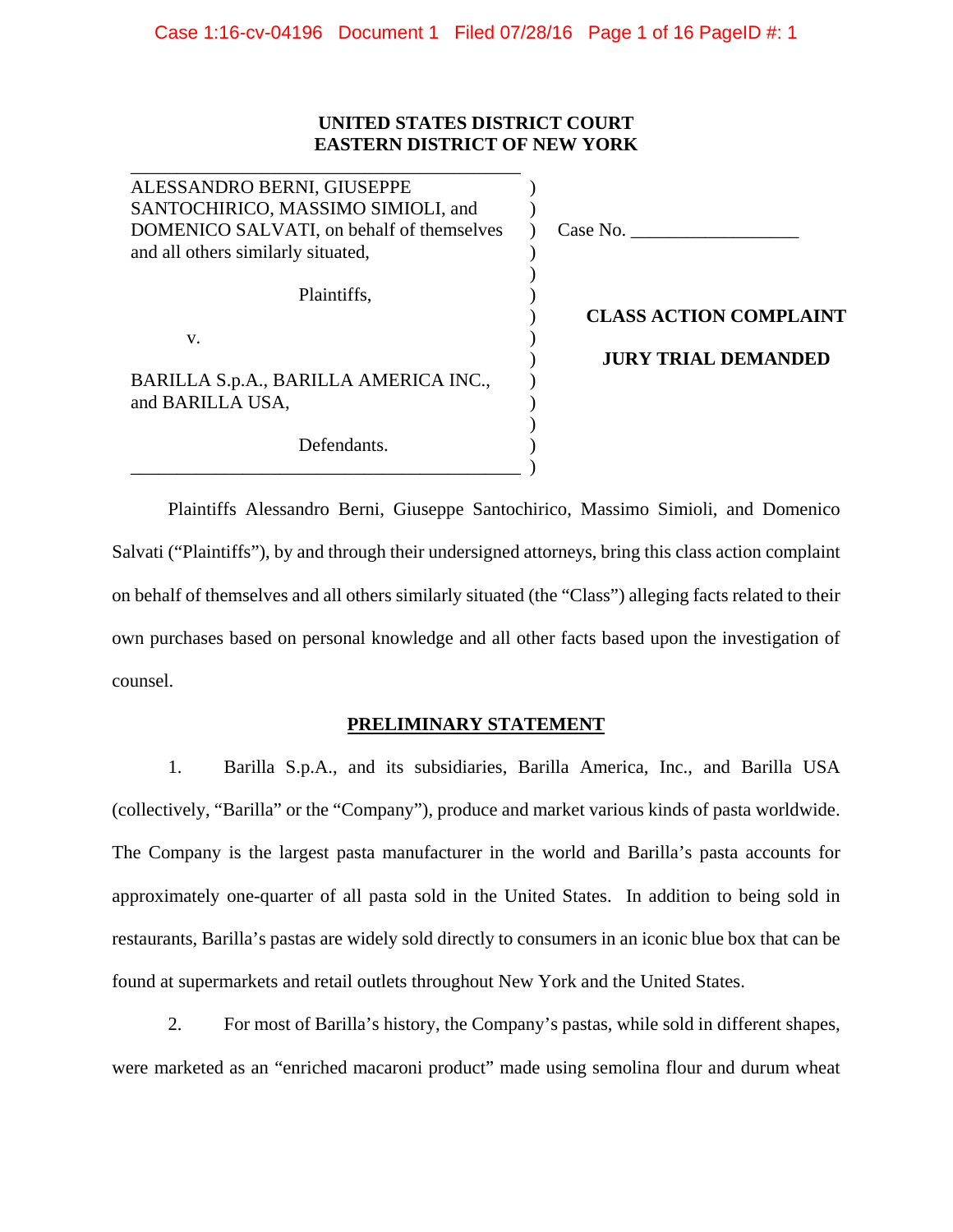## **UNITED STATES DISTRICT COURT EASTERN DISTRICT OF NEW YORK**

\_\_\_\_\_\_\_\_\_\_\_\_\_\_\_\_\_\_\_\_\_\_\_\_\_\_\_\_\_\_\_\_\_\_\_\_\_\_\_\_\_\_

| ALESSANDRO BERNI, GIUSEPPE<br>SANTOCHIRICO, MASSIMO SIMIOLI, and<br>DOMENICO SALVATI, on behalf of themselves<br>and all others similarly situated, | Case No.                      |
|-----------------------------------------------------------------------------------------------------------------------------------------------------|-------------------------------|
| Plaintiffs,                                                                                                                                         | <b>CLASS ACTION COMPLAINT</b> |
| V.                                                                                                                                                  | <b>JURY TRIAL DEMANDED</b>    |
| BARILLA S.p.A., BARILLA AMERICA INC.,<br>and BARILLA USA,                                                                                           |                               |
| Defendants.                                                                                                                                         |                               |

Plaintiffs Alessandro Berni, Giuseppe Santochirico, Massimo Simioli, and Domenico Salvati ("Plaintiffs"), by and through their undersigned attorneys, bring this class action complaint on behalf of themselves and all others similarly situated (the "Class") alleging facts related to their own purchases based on personal knowledge and all other facts based upon the investigation of counsel.

# **PRELIMINARY STATEMENT**

1. Barilla S.p.A., and its subsidiaries, Barilla America, Inc., and Barilla USA (collectively, "Barilla" or the "Company"), produce and market various kinds of pasta worldwide. The Company is the largest pasta manufacturer in the world and Barilla's pasta accounts for approximately one-quarter of all pasta sold in the United States. In addition to being sold in restaurants, Barilla's pastas are widely sold directly to consumers in an iconic blue box that can be found at supermarkets and retail outlets throughout New York and the United States.

2. For most of Barilla's history, the Company's pastas, while sold in different shapes, were marketed as an "enriched macaroni product" made using semolina flour and durum wheat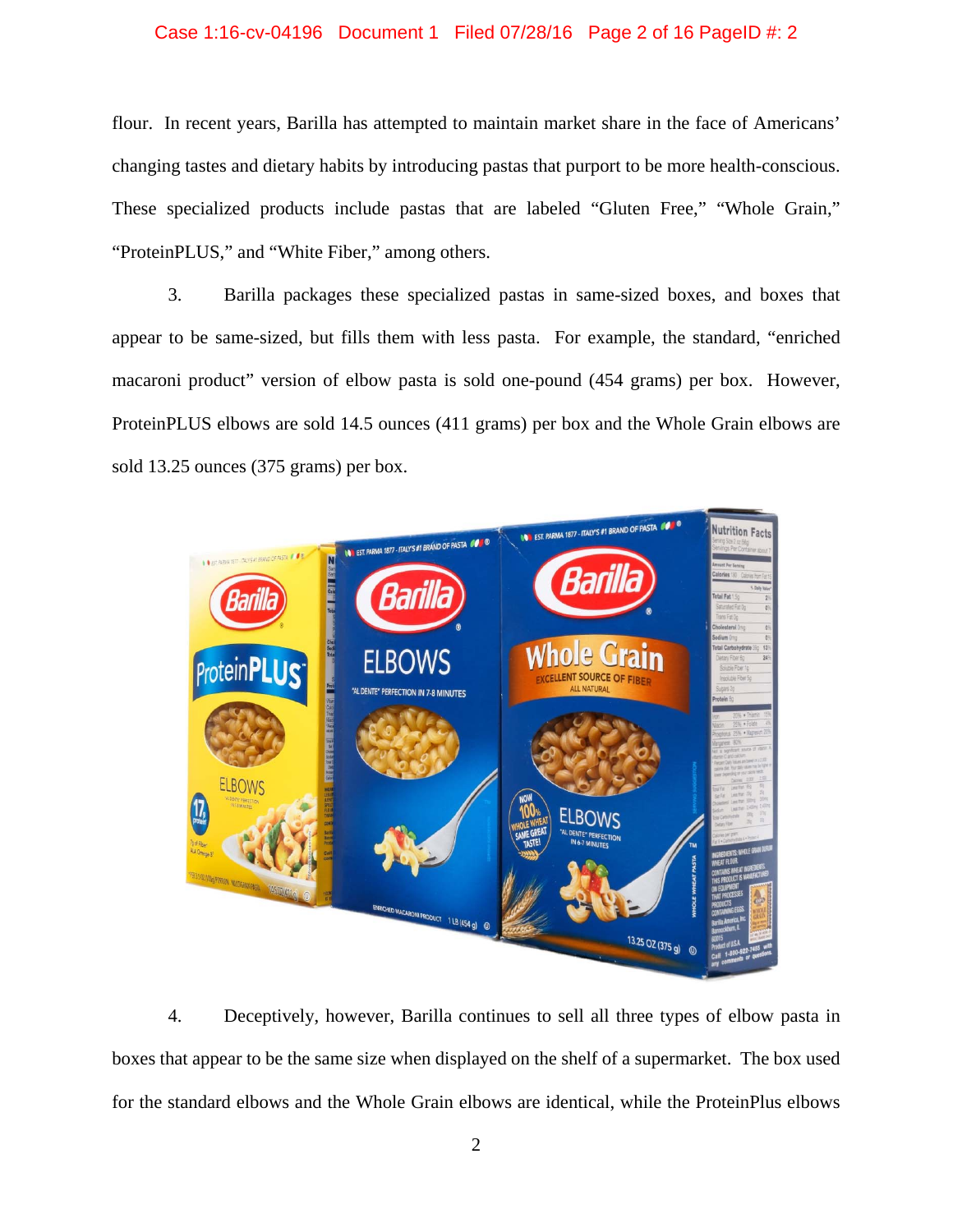### Case 1:16-cv-04196 Document 1 Filed 07/28/16 Page 2 of 16 PageID #: 2

flour. In recent years, Barilla has attempted to maintain market share in the face of Americans' changing tastes and dietary habits by introducing pastas that purport to be more health-conscious. These specialized products include pastas that are labeled "Gluten Free," "Whole Grain," "ProteinPLUS," and "White Fiber," among others.

3. Barilla packages these specialized pastas in same-sized boxes, and boxes that appear to be same-sized, but fills them with less pasta. For example, the standard, "enriched macaroni product" version of elbow pasta is sold one-pound (454 grams) per box. However, ProteinPLUS elbows are sold 14.5 ounces (411 grams) per box and the Whole Grain elbows are sold 13.25 ounces (375 grams) per box.



4. Deceptively, however, Barilla continues to sell all three types of elbow pasta in boxes that appear to be the same size when displayed on the shelf of a supermarket. The box used for the standard elbows and the Whole Grain elbows are identical, while the ProteinPlus elbows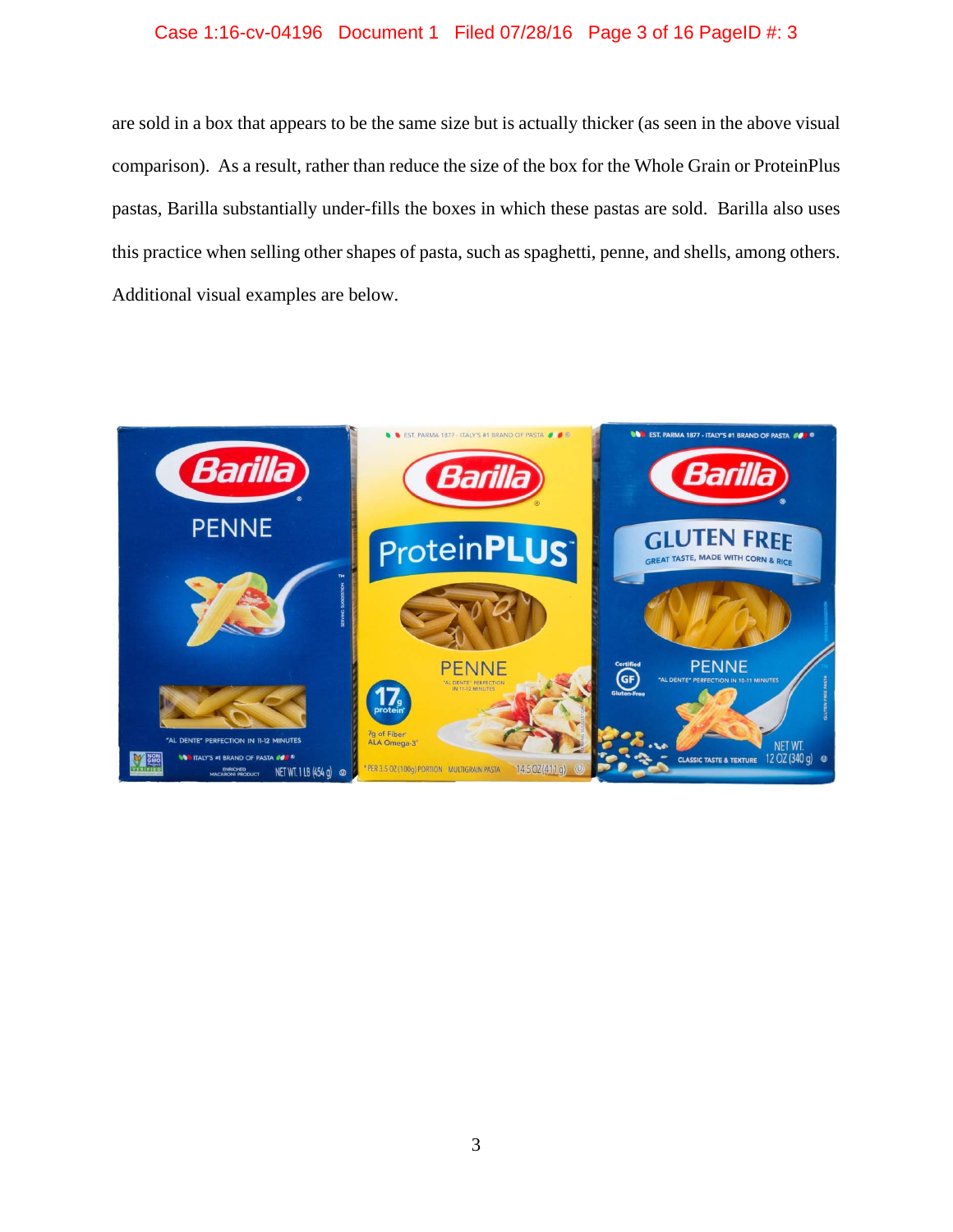# Case 1:16-cv-04196 Document 1 Filed 07/28/16 Page 3 of 16 PageID #: 3

are sold in a box that appears to be the same size but is actually thicker (as seen in the above visual comparison). As a result, rather than reduce the size of the box for the Whole Grain or ProteinPlus pastas, Barilla substantially under-fills the boxes in which these pastas are sold. Barilla also uses this practice when selling other shapes of pasta, such as spaghetti, penne, and shells, among others. Additional visual examples are below.

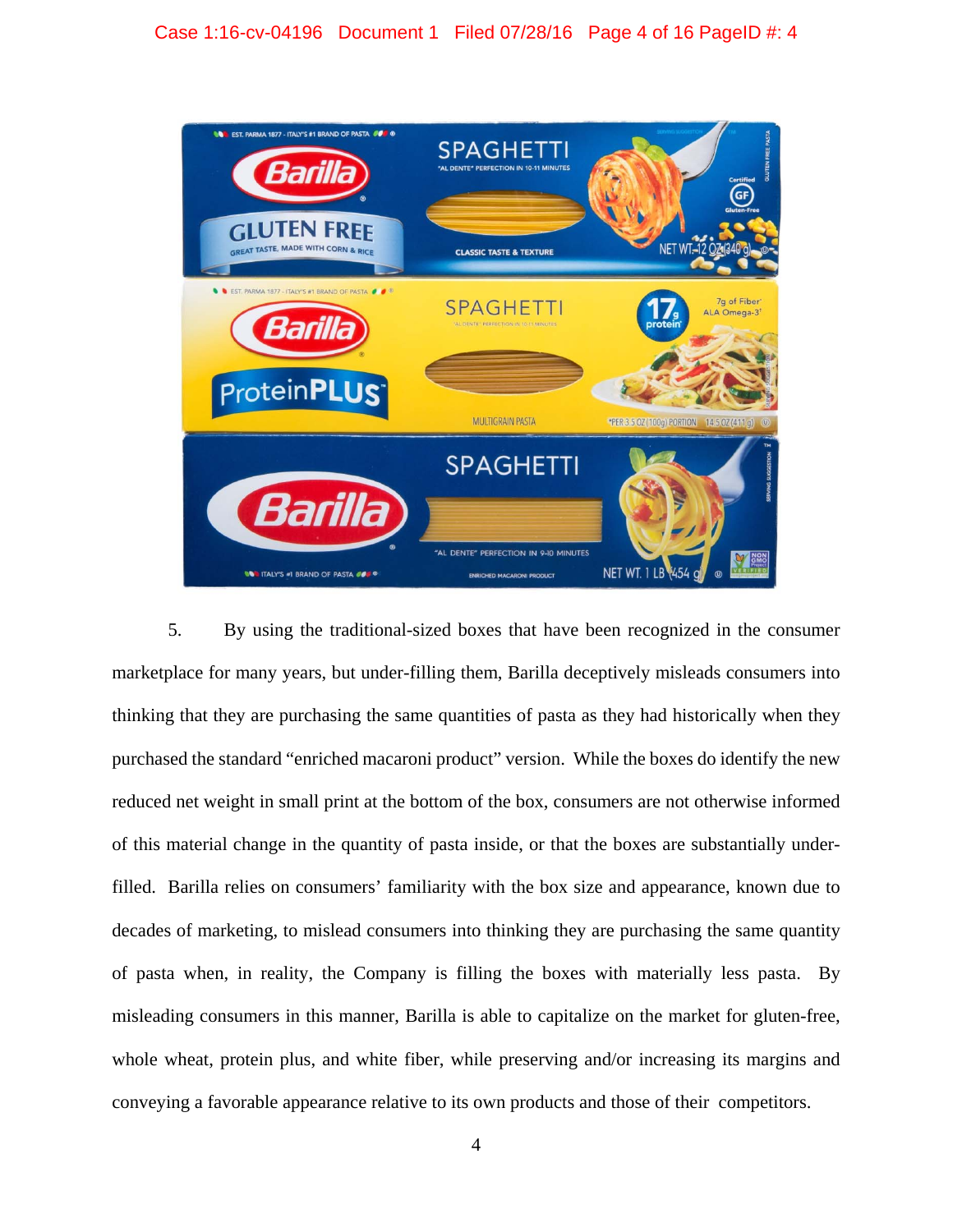

5. By using the traditional-sized boxes that have been recognized in the consumer marketplace for many years, but under-filling them, Barilla deceptively misleads consumers into thinking that they are purchasing the same quantities of pasta as they had historically when they purchased the standard "enriched macaroni product" version. While the boxes do identify the new reduced net weight in small print at the bottom of the box, consumers are not otherwise informed of this material change in the quantity of pasta inside, or that the boxes are substantially underfilled. Barilla relies on consumers' familiarity with the box size and appearance, known due to decades of marketing, to mislead consumers into thinking they are purchasing the same quantity of pasta when, in reality, the Company is filling the boxes with materially less pasta. By misleading consumers in this manner, Barilla is able to capitalize on the market for gluten-free, whole wheat, protein plus, and white fiber, while preserving and/or increasing its margins and conveying a favorable appearance relative to its own products and those of their competitors.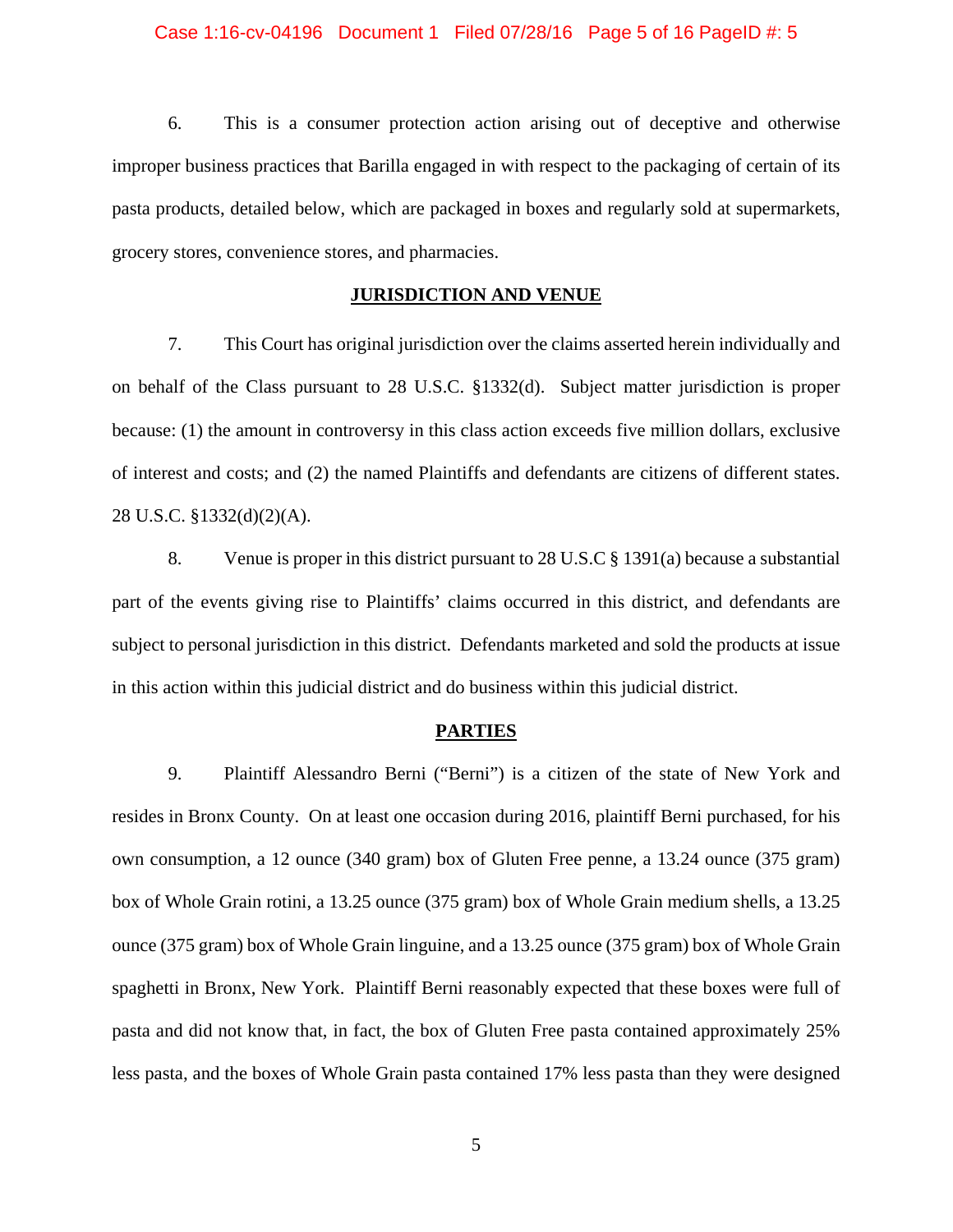### Case 1:16-cv-04196 Document 1 Filed 07/28/16 Page 5 of 16 PageID #: 5

6. This is a consumer protection action arising out of deceptive and otherwise improper business practices that Barilla engaged in with respect to the packaging of certain of its pasta products, detailed below, which are packaged in boxes and regularly sold at supermarkets, grocery stores, convenience stores, and pharmacies.

### **JURISDICTION AND VENUE**

7. This Court has original jurisdiction over the claims asserted herein individually and on behalf of the Class pursuant to 28 U.S.C. §1332(d). Subject matter jurisdiction is proper because: (1) the amount in controversy in this class action exceeds five million dollars, exclusive of interest and costs; and (2) the named Plaintiffs and defendants are citizens of different states. 28 U.S.C. §1332(d)(2)(A).

8. Venue is proper in this district pursuant to 28 U.S.C § 1391(a) because a substantial part of the events giving rise to Plaintiffs' claims occurred in this district, and defendants are subject to personal jurisdiction in this district. Defendants marketed and sold the products at issue in this action within this judicial district and do business within this judicial district.

#### **PARTIES**

9. Plaintiff Alessandro Berni ("Berni") is a citizen of the state of New York and resides in Bronx County. On at least one occasion during 2016, plaintiff Berni purchased, for his own consumption, a 12 ounce (340 gram) box of Gluten Free penne, a 13.24 ounce (375 gram) box of Whole Grain rotini, a 13.25 ounce (375 gram) box of Whole Grain medium shells, a 13.25 ounce (375 gram) box of Whole Grain linguine, and a 13.25 ounce (375 gram) box of Whole Grain spaghetti in Bronx, New York. Plaintiff Berni reasonably expected that these boxes were full of pasta and did not know that, in fact, the box of Gluten Free pasta contained approximately 25% less pasta, and the boxes of Whole Grain pasta contained 17% less pasta than they were designed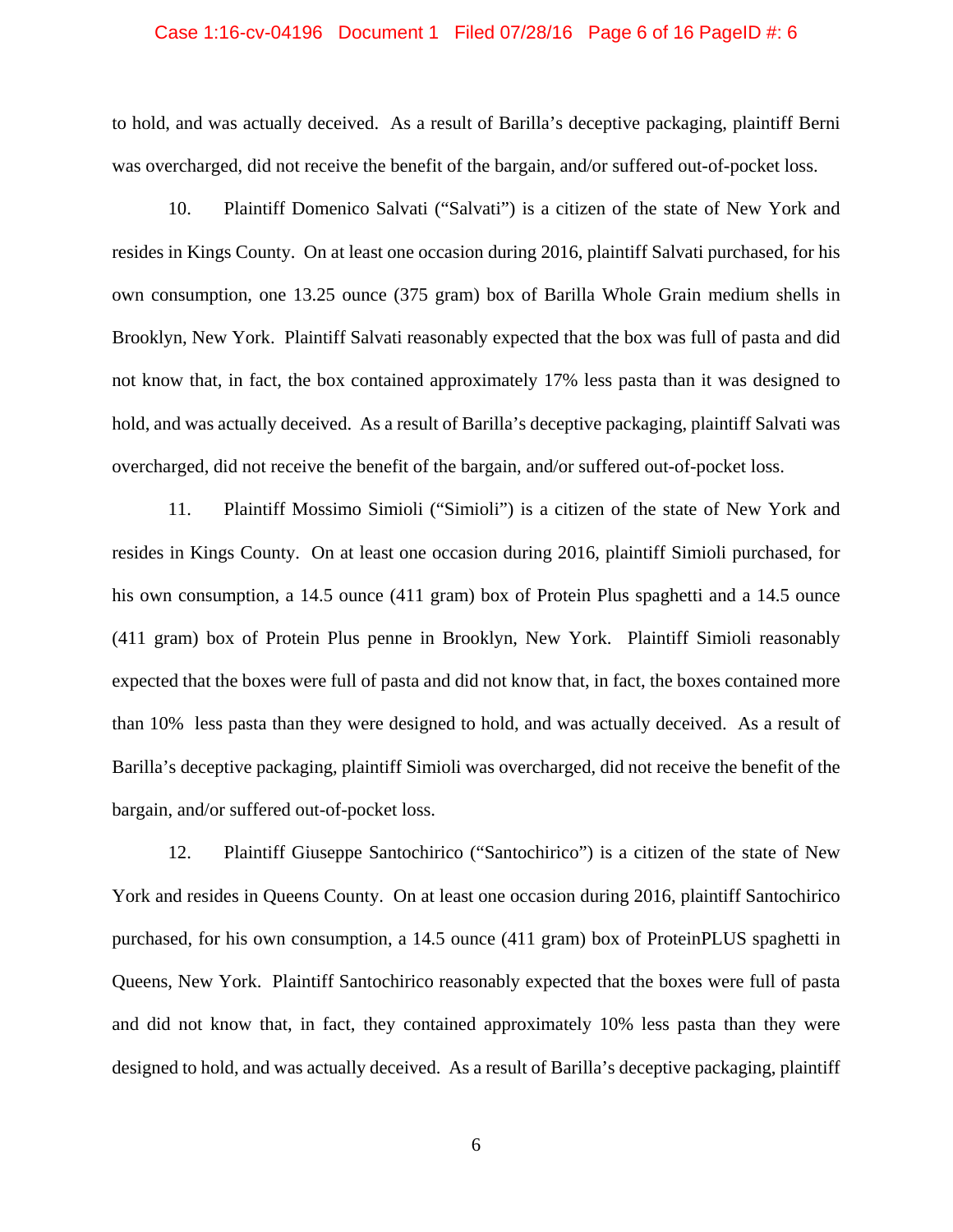#### Case 1:16-cv-04196 Document 1 Filed 07/28/16 Page 6 of 16 PageID #: 6

to hold, and was actually deceived. As a result of Barilla's deceptive packaging, plaintiff Berni was overcharged, did not receive the benefit of the bargain, and/or suffered out-of-pocket loss.

10. Plaintiff Domenico Salvati ("Salvati") is a citizen of the state of New York and resides in Kings County. On at least one occasion during 2016, plaintiff Salvati purchased, for his own consumption, one 13.25 ounce (375 gram) box of Barilla Whole Grain medium shells in Brooklyn, New York. Plaintiff Salvati reasonably expected that the box was full of pasta and did not know that, in fact, the box contained approximately 17% less pasta than it was designed to hold, and was actually deceived. As a result of Barilla's deceptive packaging, plaintiff Salvati was overcharged, did not receive the benefit of the bargain, and/or suffered out-of-pocket loss.

11. Plaintiff Mossimo Simioli ("Simioli") is a citizen of the state of New York and resides in Kings County. On at least one occasion during 2016, plaintiff Simioli purchased, for his own consumption, a 14.5 ounce (411 gram) box of Protein Plus spaghetti and a 14.5 ounce (411 gram) box of Protein Plus penne in Brooklyn, New York. Plaintiff Simioli reasonably expected that the boxes were full of pasta and did not know that, in fact, the boxes contained more than 10% less pasta than they were designed to hold, and was actually deceived. As a result of Barilla's deceptive packaging, plaintiff Simioli was overcharged, did not receive the benefit of the bargain, and/or suffered out-of-pocket loss.

12. Plaintiff Giuseppe Santochirico ("Santochirico") is a citizen of the state of New York and resides in Queens County. On at least one occasion during 2016, plaintiff Santochirico purchased, for his own consumption, a 14.5 ounce (411 gram) box of ProteinPLUS spaghetti in Queens, New York. Plaintiff Santochirico reasonably expected that the boxes were full of pasta and did not know that, in fact, they contained approximately 10% less pasta than they were designed to hold, and was actually deceived. As a result of Barilla's deceptive packaging, plaintiff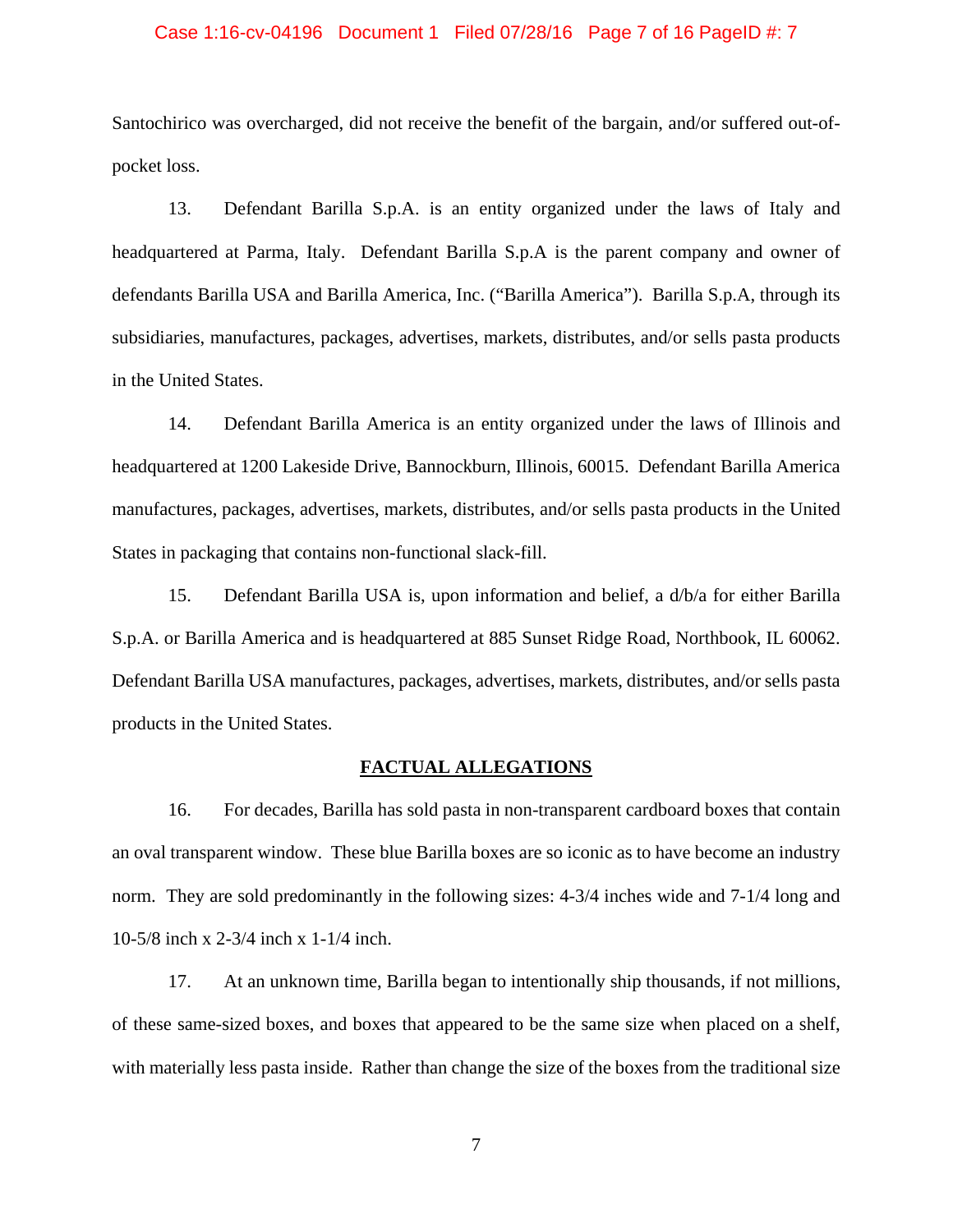### Case 1:16-cv-04196 Document 1 Filed 07/28/16 Page 7 of 16 PageID #: 7

Santochirico was overcharged, did not receive the benefit of the bargain, and/or suffered out-ofpocket loss.

13. Defendant Barilla S.p.A. is an entity organized under the laws of Italy and headquartered at Parma, Italy. Defendant Barilla S.p.A is the parent company and owner of defendants Barilla USA and Barilla America, Inc. ("Barilla America"). Barilla S.p.A, through its subsidiaries, manufactures, packages, advertises, markets, distributes, and/or sells pasta products in the United States.

14. Defendant Barilla America is an entity organized under the laws of Illinois and headquartered at 1200 Lakeside Drive, Bannockburn, Illinois, 60015. Defendant Barilla America manufactures, packages, advertises, markets, distributes, and/or sells pasta products in the United States in packaging that contains non-functional slack-fill.

15. Defendant Barilla USA is, upon information and belief, a d/b/a for either Barilla S.p.A. or Barilla America and is headquartered at 885 Sunset Ridge Road, Northbook, IL 60062. Defendant Barilla USA manufactures, packages, advertises, markets, distributes, and/or sells pasta products in the United States.

#### **FACTUAL ALLEGATIONS**

16. For decades, Barilla has sold pasta in non-transparent cardboard boxes that contain an oval transparent window. These blue Barilla boxes are so iconic as to have become an industry norm. They are sold predominantly in the following sizes: 4-3/4 inches wide and 7-1/4 long and 10-5/8 inch x 2-3/4 inch x 1-1/4 inch.

17. At an unknown time, Barilla began to intentionally ship thousands, if not millions, of these same-sized boxes, and boxes that appeared to be the same size when placed on a shelf, with materially less pasta inside. Rather than change the size of the boxes from the traditional size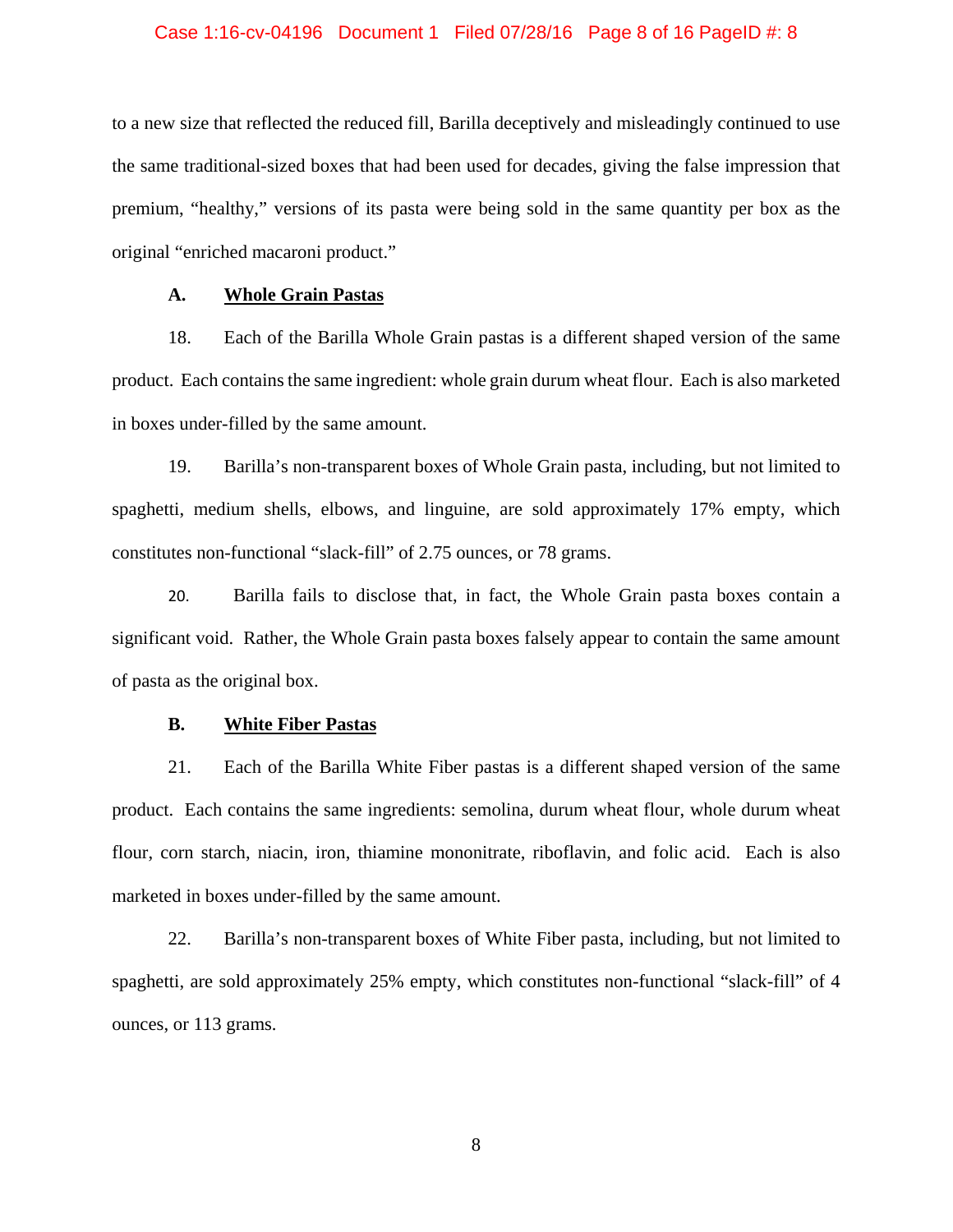### Case 1:16-cv-04196 Document 1 Filed 07/28/16 Page 8 of 16 PageID #: 8

to a new size that reflected the reduced fill, Barilla deceptively and misleadingly continued to use the same traditional-sized boxes that had been used for decades, giving the false impression that premium, "healthy," versions of its pasta were being sold in the same quantity per box as the original "enriched macaroni product."

### **A. Whole Grain Pastas**

18. Each of the Barilla Whole Grain pastas is a different shaped version of the same product. Each contains the same ingredient: whole grain durum wheat flour. Each is also marketed in boxes under-filled by the same amount.

19. Barilla's non-transparent boxes of Whole Grain pasta, including, but not limited to spaghetti, medium shells, elbows, and linguine, are sold approximately 17% empty, which constitutes non-functional "slack-fill" of 2.75 ounces, or 78 grams.

20. Barilla fails to disclose that, in fact, the Whole Grain pasta boxes contain a significant void. Rather, the Whole Grain pasta boxes falsely appear to contain the same amount of pasta as the original box.

#### **B. White Fiber Pastas**

21. Each of the Barilla White Fiber pastas is a different shaped version of the same product. Each contains the same ingredients: semolina, durum wheat flour, whole durum wheat flour, corn starch, niacin, iron, thiamine mononitrate, riboflavin, and folic acid. Each is also marketed in boxes under-filled by the same amount.

22. Barilla's non-transparent boxes of White Fiber pasta, including, but not limited to spaghetti, are sold approximately 25% empty, which constitutes non-functional "slack-fill" of 4 ounces, or 113 grams.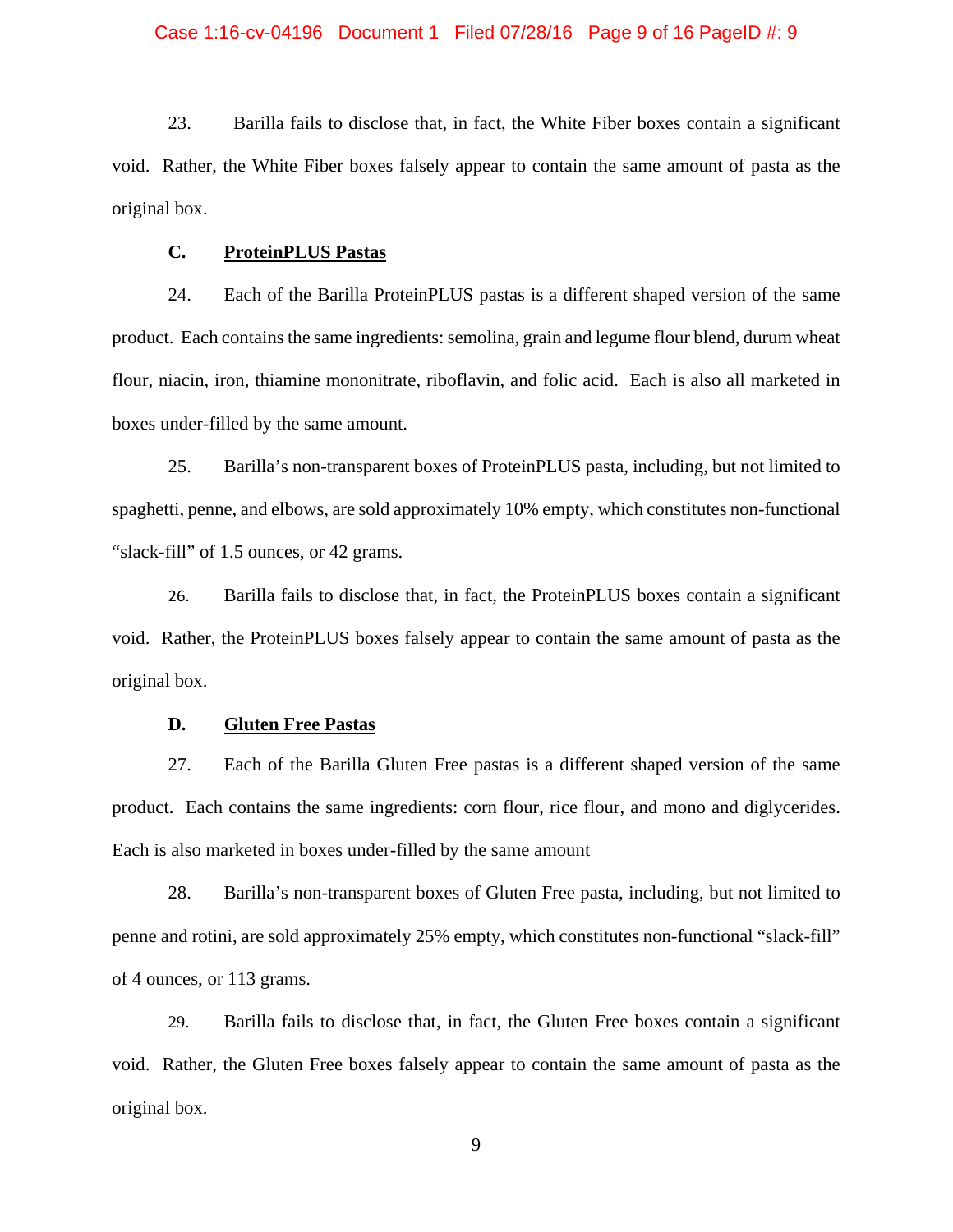### Case 1:16-cv-04196 Document 1 Filed 07/28/16 Page 9 of 16 PageID #: 9

23. Barilla fails to disclose that, in fact, the White Fiber boxes contain a significant void. Rather, the White Fiber boxes falsely appear to contain the same amount of pasta as the original box.

### **C. ProteinPLUS Pastas**

24. Each of the Barilla ProteinPLUS pastas is a different shaped version of the same product. Each contains the same ingredients: semolina, grain and legume flour blend, durum wheat flour, niacin, iron, thiamine mononitrate, riboflavin, and folic acid. Each is also all marketed in boxes under-filled by the same amount.

25. Barilla's non-transparent boxes of ProteinPLUS pasta, including, but not limited to spaghetti, penne, and elbows, are sold approximately 10% empty, which constitutes non-functional "slack-fill" of 1.5 ounces, or 42 grams.

26. Barilla fails to disclose that, in fact, the ProteinPLUS boxes contain a significant void. Rather, the ProteinPLUS boxes falsely appear to contain the same amount of pasta as the original box.

### **D. Gluten Free Pastas**

27. Each of the Barilla Gluten Free pastas is a different shaped version of the same product. Each contains the same ingredients: corn flour, rice flour, and mono and diglycerides. Each is also marketed in boxes under-filled by the same amount

28. Barilla's non-transparent boxes of Gluten Free pasta, including, but not limited to penne and rotini, are sold approximately 25% empty, which constitutes non-functional "slack-fill" of 4 ounces, or 113 grams.

29. Barilla fails to disclose that, in fact, the Gluten Free boxes contain a significant void. Rather, the Gluten Free boxes falsely appear to contain the same amount of pasta as the original box.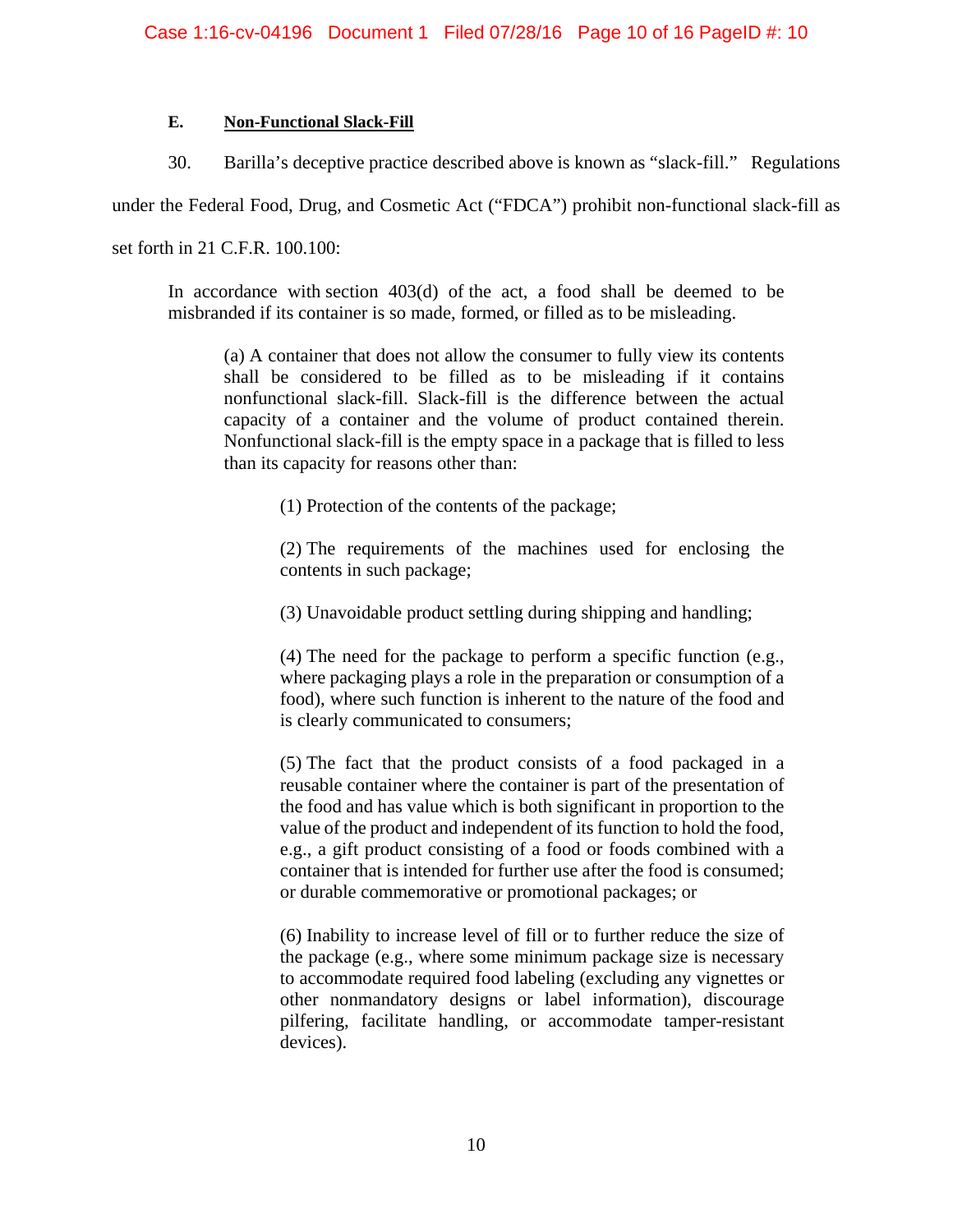## **E. Non-Functional Slack-Fill**

30. Barilla's deceptive practice described above is known as "slack-fill." Regulations

under the Federal Food, Drug, and Cosmetic Act ("FDCA") prohibit non-functional slack-fill as

set forth in 21 C.F.R. 100.100:

In accordance with section 403(d) of the act, a food shall be deemed to be misbranded if its container is so made, formed, or filled as to be misleading.

(a) A container that does not allow the consumer to fully view its contents shall be considered to be filled as to be misleading if it contains nonfunctional slack-fill. Slack-fill is the difference between the actual capacity of a container and the volume of product contained therein. Nonfunctional slack-fill is the empty space in a package that is filled to less than its capacity for reasons other than:

(1) Protection of the contents of the package;

(2) The requirements of the machines used for enclosing the contents in such package;

(3) Unavoidable product settling during shipping and handling;

(4) The need for the package to perform a specific function (e.g., where packaging plays a role in the preparation or consumption of a food), where such function is inherent to the nature of the food and is clearly communicated to consumers;

(5) The fact that the product consists of a food packaged in a reusable container where the container is part of the presentation of the food and has value which is both significant in proportion to the value of the product and independent of its function to hold the food, e.g., a gift product consisting of a food or foods combined with a container that is intended for further use after the food is consumed; or durable commemorative or promotional packages; or

(6) Inability to increase level of fill or to further reduce the size of the package (e.g., where some minimum package size is necessary to accommodate required food labeling (excluding any vignettes or other nonmandatory designs or label information), discourage pilfering, facilitate handling, or accommodate tamper-resistant devices).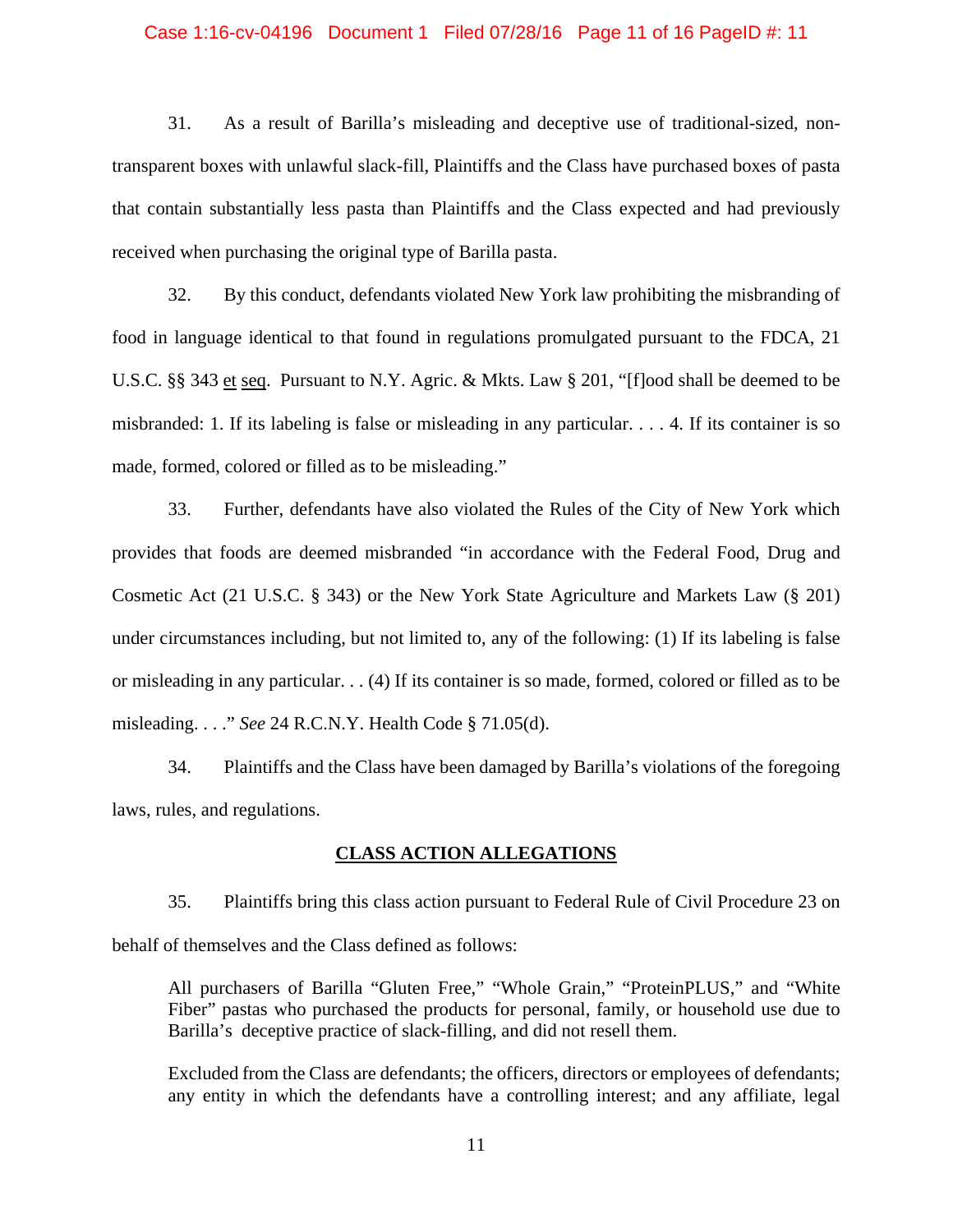#### Case 1:16-cv-04196 Document 1 Filed 07/28/16 Page 11 of 16 PageID #: 11

31. As a result of Barilla's misleading and deceptive use of traditional-sized, nontransparent boxes with unlawful slack-fill, Plaintiffs and the Class have purchased boxes of pasta that contain substantially less pasta than Plaintiffs and the Class expected and had previously received when purchasing the original type of Barilla pasta.

32. By this conduct, defendants violated New York law prohibiting the misbranding of food in language identical to that found in regulations promulgated pursuant to the FDCA, 21 U.S.C. §§ 343 et seq. Pursuant to N.Y. Agric. & Mkts. Law § 201, "[f]ood shall be deemed to be misbranded: 1. If its labeling is false or misleading in any particular. . . . 4. If its container is so made, formed, colored or filled as to be misleading."

33. Further, defendants have also violated the Rules of the City of New York which provides that foods are deemed misbranded "in accordance with the Federal Food, Drug and Cosmetic Act (21 U.S.C. § 343) or the New York State Agriculture and Markets Law (§ 201) under circumstances including, but not limited to, any of the following: (1) If its labeling is false or misleading in any particular. . . (4) If its container is so made, formed, colored or filled as to be misleading. . . ." *See* 24 R.C.N.Y. Health Code § 71.05(d).

34. Plaintiffs and the Class have been damaged by Barilla's violations of the foregoing laws, rules, and regulations.

### **CLASS ACTION ALLEGATIONS**

35. Plaintiffs bring this class action pursuant to Federal Rule of Civil Procedure 23 on behalf of themselves and the Class defined as follows:

All purchasers of Barilla "Gluten Free," "Whole Grain," "ProteinPLUS," and "White Fiber" pastas who purchased the products for personal, family, or household use due to Barilla's deceptive practice of slack-filling, and did not resell them.

Excluded from the Class are defendants; the officers, directors or employees of defendants; any entity in which the defendants have a controlling interest; and any affiliate, legal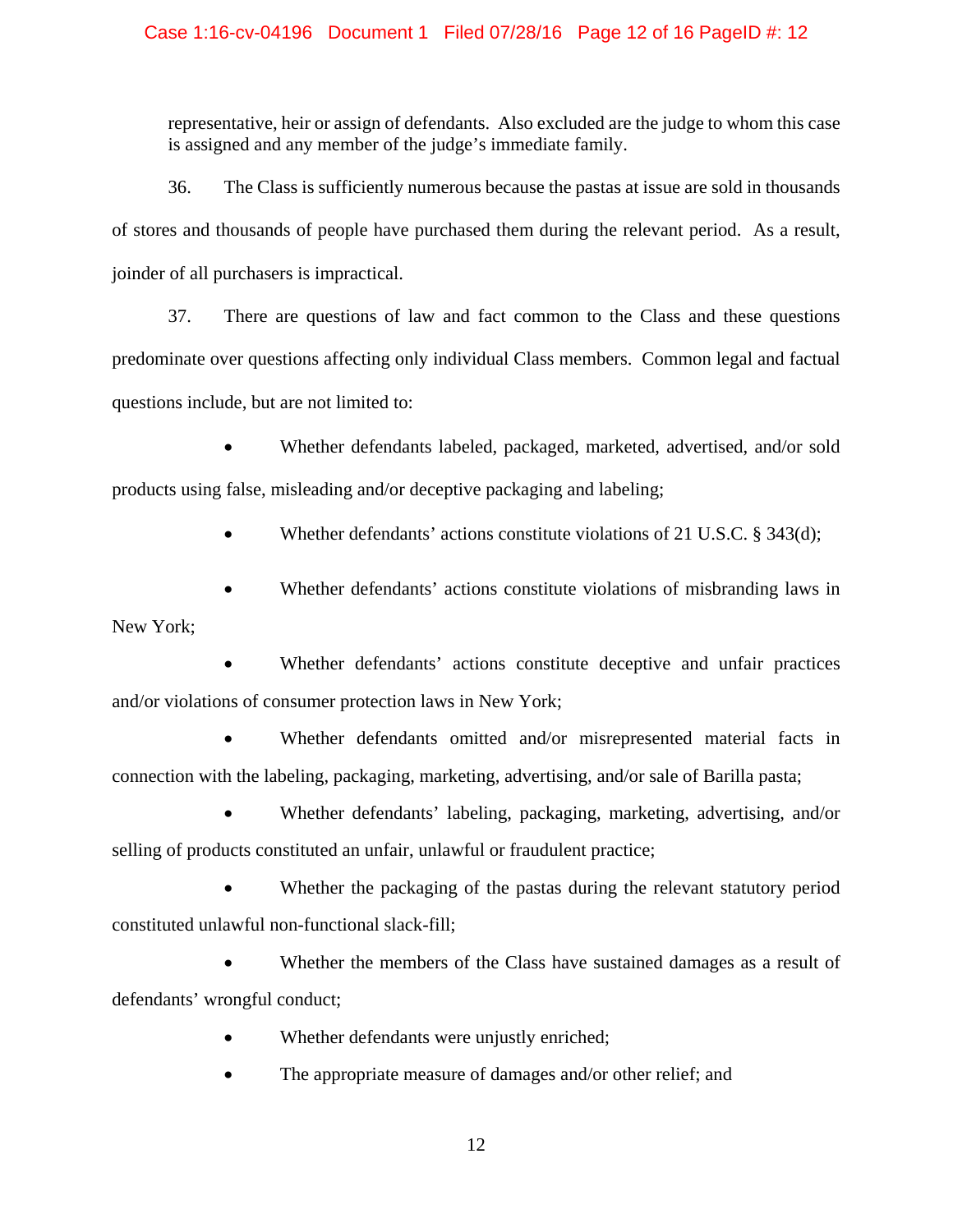## Case 1:16-cv-04196 Document 1 Filed 07/28/16 Page 12 of 16 PageID #: 12

representative, heir or assign of defendants. Also excluded are the judge to whom this case is assigned and any member of the judge's immediate family.

36. The Class is sufficiently numerous because the pastas at issue are sold in thousands of stores and thousands of people have purchased them during the relevant period. As a result, joinder of all purchasers is impractical.

37. There are questions of law and fact common to the Class and these questions predominate over questions affecting only individual Class members. Common legal and factual questions include, but are not limited to:

 Whether defendants labeled, packaged, marketed, advertised, and/or sold products using false, misleading and/or deceptive packaging and labeling;

Whether defendants' actions constitute violations of 21 U.S.C. § 343(d);

 Whether defendants' actions constitute violations of misbranding laws in New York;

 Whether defendants' actions constitute deceptive and unfair practices and/or violations of consumer protection laws in New York;

 Whether defendants omitted and/or misrepresented material facts in connection with the labeling, packaging, marketing, advertising, and/or sale of Barilla pasta;

 Whether defendants' labeling, packaging, marketing, advertising, and/or selling of products constituted an unfair, unlawful or fraudulent practice;

 Whether the packaging of the pastas during the relevant statutory period constituted unlawful non-functional slack-fill;

 Whether the members of the Class have sustained damages as a result of defendants' wrongful conduct;

- Whether defendants were unjustly enriched;
- The appropriate measure of damages and/or other relief; and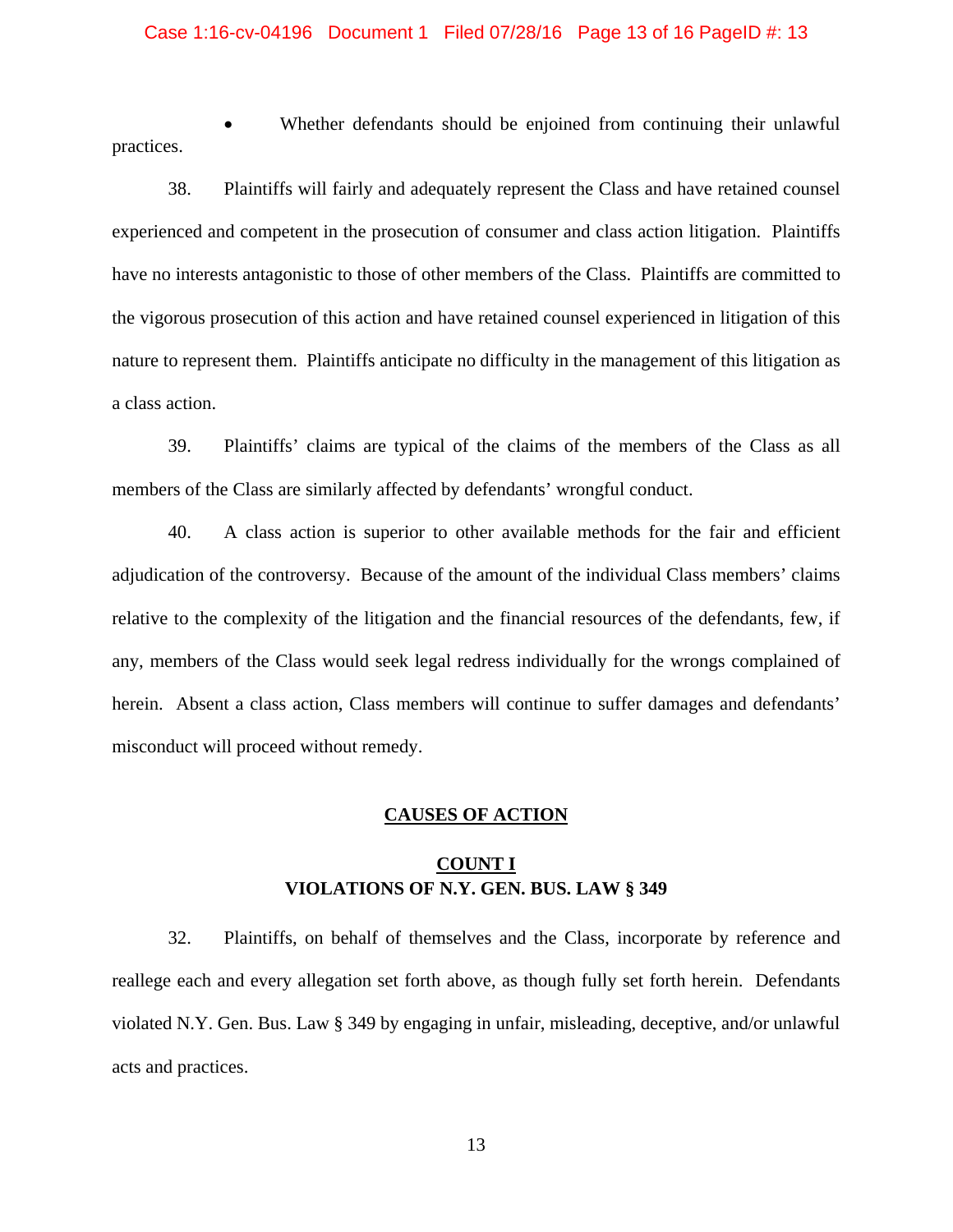### Case 1:16-cv-04196 Document 1 Filed 07/28/16 Page 13 of 16 PageID #: 13

 Whether defendants should be enjoined from continuing their unlawful practices.

38. Plaintiffs will fairly and adequately represent the Class and have retained counsel experienced and competent in the prosecution of consumer and class action litigation. Plaintiffs have no interests antagonistic to those of other members of the Class. Plaintiffs are committed to the vigorous prosecution of this action and have retained counsel experienced in litigation of this nature to represent them. Plaintiffs anticipate no difficulty in the management of this litigation as a class action.

39. Plaintiffs' claims are typical of the claims of the members of the Class as all members of the Class are similarly affected by defendants' wrongful conduct.

40. A class action is superior to other available methods for the fair and efficient adjudication of the controversy. Because of the amount of the individual Class members' claims relative to the complexity of the litigation and the financial resources of the defendants, few, if any, members of the Class would seek legal redress individually for the wrongs complained of herein. Absent a class action, Class members will continue to suffer damages and defendants' misconduct will proceed without remedy.

## **CAUSES OF ACTION**

# **COUNT I VIOLATIONS OF N.Y. GEN. BUS. LAW § 349**

32. Plaintiffs, on behalf of themselves and the Class, incorporate by reference and reallege each and every allegation set forth above, as though fully set forth herein. Defendants violated N.Y. Gen. Bus. Law § 349 by engaging in unfair, misleading, deceptive, and/or unlawful acts and practices.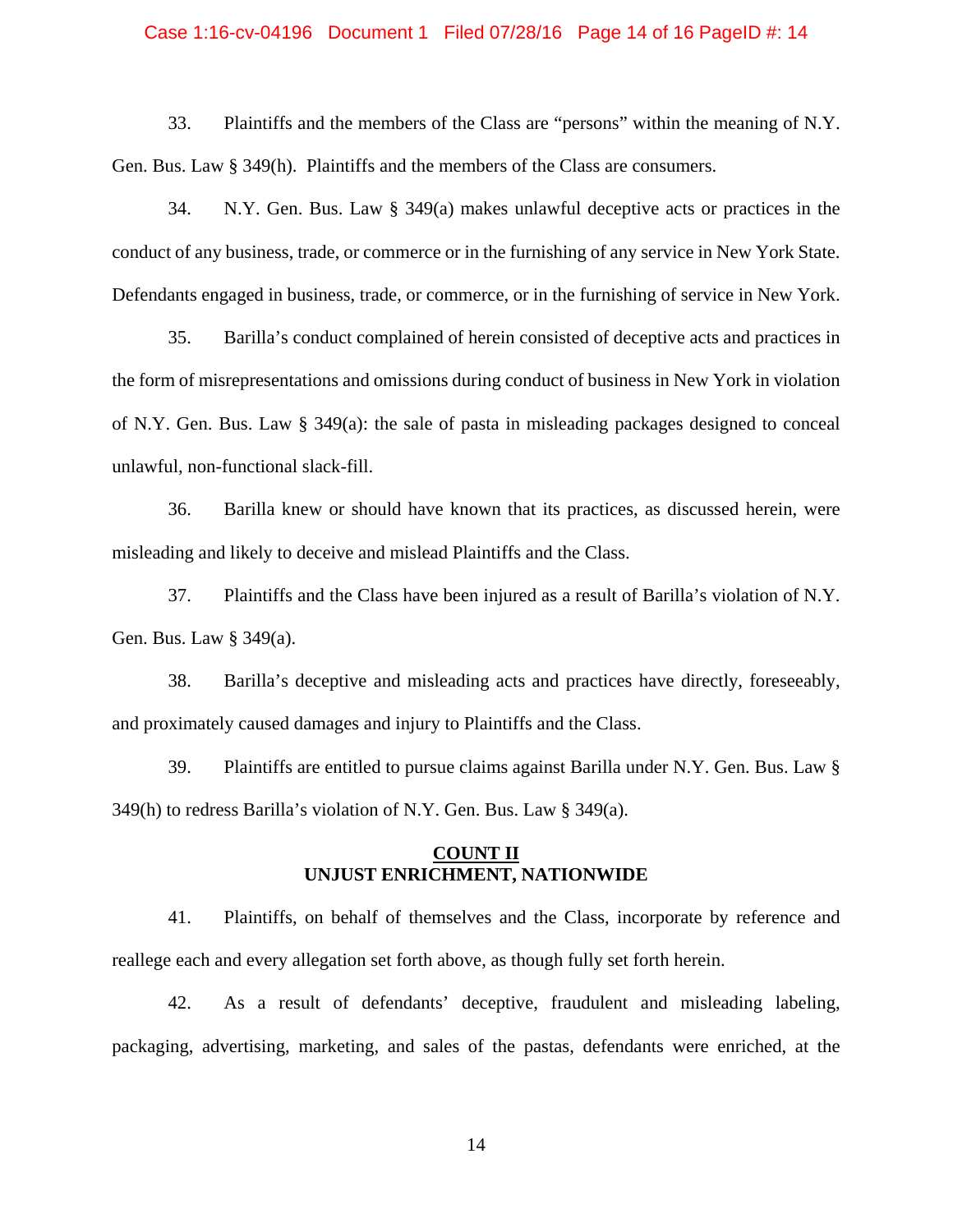### Case 1:16-cv-04196 Document 1 Filed 07/28/16 Page 14 of 16 PageID #: 14

33. Plaintiffs and the members of the Class are "persons" within the meaning of N.Y. Gen. Bus. Law § 349(h). Plaintiffs and the members of the Class are consumers.

34. N.Y. Gen. Bus. Law § 349(a) makes unlawful deceptive acts or practices in the conduct of any business, trade, or commerce or in the furnishing of any service in New York State. Defendants engaged in business, trade, or commerce, or in the furnishing of service in New York.

35. Barilla's conduct complained of herein consisted of deceptive acts and practices in the form of misrepresentations and omissions during conduct of business in New York in violation of N.Y. Gen. Bus. Law § 349(a): the sale of pasta in misleading packages designed to conceal unlawful, non-functional slack-fill.

36. Barilla knew or should have known that its practices, as discussed herein, were misleading and likely to deceive and mislead Plaintiffs and the Class.

37. Plaintiffs and the Class have been injured as a result of Barilla's violation of N.Y. Gen. Bus. Law § 349(a).

38. Barilla's deceptive and misleading acts and practices have directly, foreseeably, and proximately caused damages and injury to Plaintiffs and the Class.

39. Plaintiffs are entitled to pursue claims against Barilla under N.Y. Gen. Bus. Law § 349(h) to redress Barilla's violation of N.Y. Gen. Bus. Law § 349(a).

## **COUNT II UNJUST ENRICHMENT, NATIONWIDE**

41. Plaintiffs, on behalf of themselves and the Class, incorporate by reference and reallege each and every allegation set forth above, as though fully set forth herein.

42. As a result of defendants' deceptive, fraudulent and misleading labeling, packaging, advertising, marketing, and sales of the pastas, defendants were enriched, at the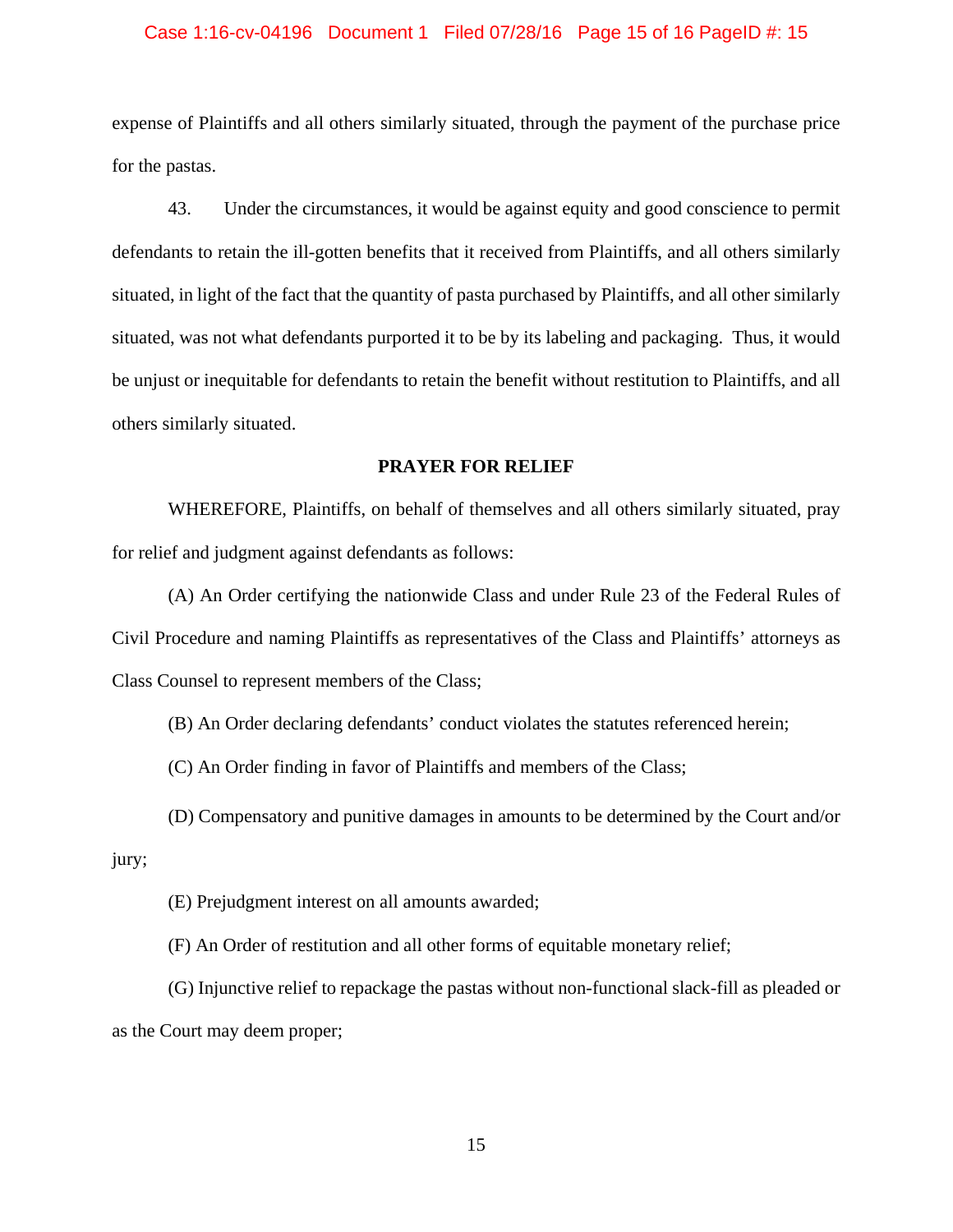#### Case 1:16-cv-04196 Document 1 Filed 07/28/16 Page 15 of 16 PageID #: 15

expense of Plaintiffs and all others similarly situated, through the payment of the purchase price for the pastas.

43. Under the circumstances, it would be against equity and good conscience to permit defendants to retain the ill-gotten benefits that it received from Plaintiffs, and all others similarly situated, in light of the fact that the quantity of pasta purchased by Plaintiffs, and all other similarly situated, was not what defendants purported it to be by its labeling and packaging. Thus, it would be unjust or inequitable for defendants to retain the benefit without restitution to Plaintiffs, and all others similarly situated.

### **PRAYER FOR RELIEF**

WHEREFORE, Plaintiffs, on behalf of themselves and all others similarly situated, pray for relief and judgment against defendants as follows:

(A) An Order certifying the nationwide Class and under Rule 23 of the Federal Rules of Civil Procedure and naming Plaintiffs as representatives of the Class and Plaintiffs' attorneys as Class Counsel to represent members of the Class;

(B) An Order declaring defendants' conduct violates the statutes referenced herein;

(C) An Order finding in favor of Plaintiffs and members of the Class;

(D) Compensatory and punitive damages in amounts to be determined by the Court and/or jury;

(E) Prejudgment interest on all amounts awarded;

(F) An Order of restitution and all other forms of equitable monetary relief;

(G) Injunctive relief to repackage the pastas without non-functional slack-fill as pleaded or as the Court may deem proper;